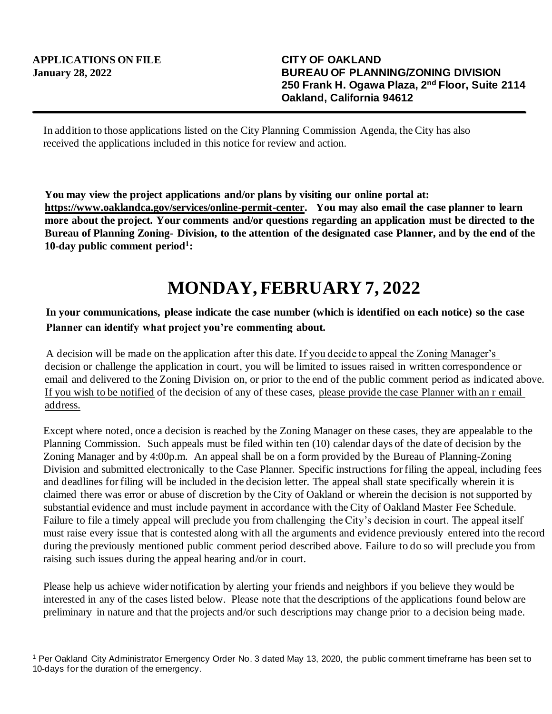In addition to those applications listed on the City Planning Commission Agenda, the City has also received the applications included in this notice for review and action.

**You may view the project applications and/or plans by visiting our online portal at: https://www.oaklandca.gov/services/online-permit-center. You may also email the case planner to learn more about the project. Your comments and/or questions regarding an application must be directed to the Bureau of Planning Zoning- Division, to the attention of the designated case Planner, and by the end of the 10-day public comment period<sup>1</sup> :**

## **MONDAY, FEBRUARY 7, 2022**

## **In your communications, please indicate the case number (which is identified on each notice) so the case Planner can identify what project you're commenting about.**

A decision will be made on the application after this date. If you decide to appeal the Zoning Manager's decision or challenge the application in court, you will be limited to issues raised in written correspondence or email and delivered to the Zoning Division on, or prior to the end of the public comment period as indicated above. If you wish to be notified of the decision of any of these cases, please provide the case Planner with an r email address.

Except where noted, once a decision is reached by the Zoning Manager on these cases, they are appealable to the Planning Commission. Such appeals must be filed within ten (10) calendar days of the date of decision by the Zoning Manager and by 4:00p.m. An appeal shall be on a form provided by the Bureau of Planning-Zoning Division and submitted electronically to the Case Planner. Specific instructions for filing the appeal, including fees and deadlines for filing will be included in the decision letter. The appeal shall state specifically wherein it is claimed there was error or abuse of discretion by the City of Oakland or wherein the decision is not supported by substantial evidence and must include payment in accordance with the City of Oakland Master Fee Schedule. Failure to file a timely appeal will preclude you from challenging the City's decision in court. The appeal itself must raise every issue that is contested along with all the arguments and evidence previously entered into the record during the previously mentioned public comment period described above. Failure to do so will preclude you from raising such issues during the appeal hearing and/or in court.

Please help us achieve wider notification by alerting your friends and neighbors if you believe they would be interested in any of the cases listed below. Please note that the descriptions of the applications found below are preliminary in nature and that the projects and/or such descriptions may change prior to a decision being made.

<sup>1</sup> Per Oakland City Administrator Emergency Order No. 3 dated May 13, 2020, the public comment timeframe has been set to 10-days for the duration of the emergency.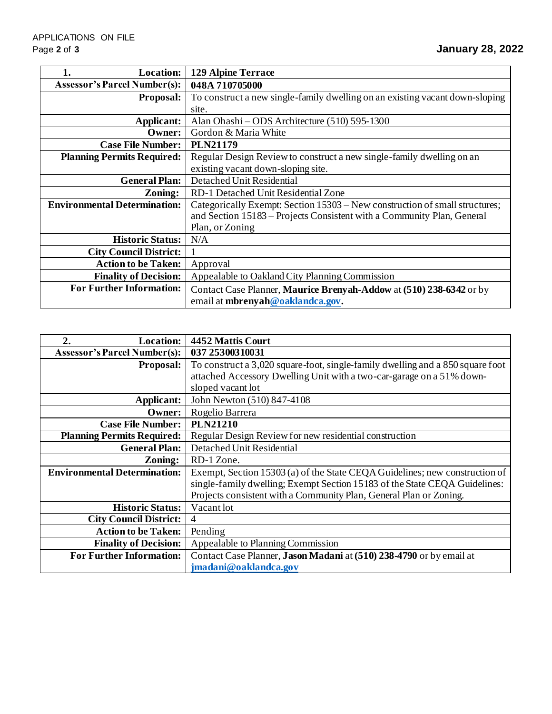| <b>Location:</b><br>1.              | <b>129 Alpine Terrace</b>                                                    |
|-------------------------------------|------------------------------------------------------------------------------|
| <b>Assessor's Parcel Number(s):</b> | 048A710705000                                                                |
| <b>Proposal:</b>                    | To construct a new single-family dwelling on an existing vacant down-sloping |
|                                     | site.                                                                        |
| Applicant:                          | Alan Ohashi – ODS Architecture (510) 595-1300                                |
| Owner:                              | Gordon & Maria White                                                         |
| <b>Case File Number:</b>            | <b>PLN21179</b>                                                              |
| <b>Planning Permits Required:</b>   | Regular Design Review to construct a new single-family dwelling on an        |
|                                     | existing vacant down-sloping site.                                           |
| <b>General Plan:</b>                | Detached Unit Residential                                                    |
| Zoning:                             | RD-1 Detached Unit Residential Zone                                          |
| <b>Environmental Determination:</b> | Categorically Exempt: Section 15303 – New construction of small structures;  |
|                                     | and Section 15183 – Projects Consistent with a Community Plan, General       |
|                                     | Plan, or Zoning                                                              |
| <b>Historic Status:</b>             | N/A                                                                          |
| <b>City Council District:</b>       |                                                                              |
| <b>Action to be Taken:</b>          | Approval                                                                     |
| <b>Finality of Decision:</b>        | Appealable to Oakland City Planning Commission                               |
| <b>For Further Information:</b>     | Contact Case Planner, Maurice Brenyah-Addow at (510) 238-6342 or by          |
|                                     | email at mbrenyah@oaklandca.gov.                                             |

| 2.<br><b>Location:</b>              | 4452 Mattis Court                                                              |
|-------------------------------------|--------------------------------------------------------------------------------|
| <b>Assessor's Parcel Number(s):</b> | 037 25300310031                                                                |
| <b>Proposal:</b>                    | To construct a 3,020 square-foot, single-family dwelling and a 850 square foot |
|                                     | attached Accessory Dwelling Unit with a two-car-garage on a 51% down-          |
|                                     | sloped vacant lot                                                              |
| Applicant:                          | John Newton (510) 847-4108                                                     |
| Owner:                              | Rogelio Barrera                                                                |
| <b>Case File Number:</b>            | <b>PLN21210</b>                                                                |
| <b>Planning Permits Required:</b>   | Regular Design Review for new residential construction                         |
| <b>General Plan:</b>                | Detached Unit Residential                                                      |
| Zoning:                             | RD-1 Zone.                                                                     |
| <b>Environmental Determination:</b> | Exempt, Section 15303 (a) of the State CEQA Guidelines; new construction of    |
|                                     | single-family dwelling; Exempt Section 15183 of the State CEQA Guidelines:     |
|                                     | Projects consistent with a Community Plan, General Plan or Zoning.             |
| <b>Historic Status:</b>             | Vacant lot                                                                     |
| <b>City Council District:</b>       | $\overline{4}$                                                                 |
| <b>Action to be Taken:</b>          | Pending                                                                        |
| <b>Finality of Decision:</b>        | Appealable to Planning Commission                                              |
| <b>For Further Information:</b>     | Contact Case Planner, Jason Madani at (510) 238-4790 or by email at            |
|                                     | jmadani@oaklandca.gov                                                          |